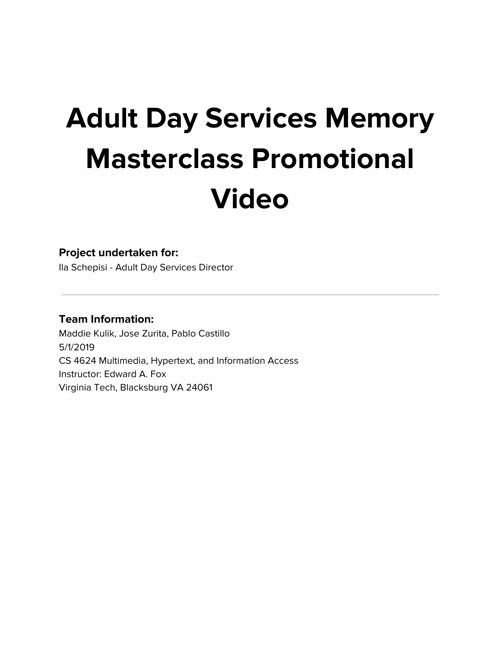# **Adult Day Services Memory Masterclass Promotional Video**

#### **Project undertaken for:**

Ila Schepisi - Adult Day Services Director

#### **Team Information:**

Maddie Kulik, Jose Zurita, Pablo Castillo 5/1/2019 CS 4624 Multimedia, Hypertext, and Information Access Instructor: Edward A. Fox Virginia Tech, Blacksburg VA 24061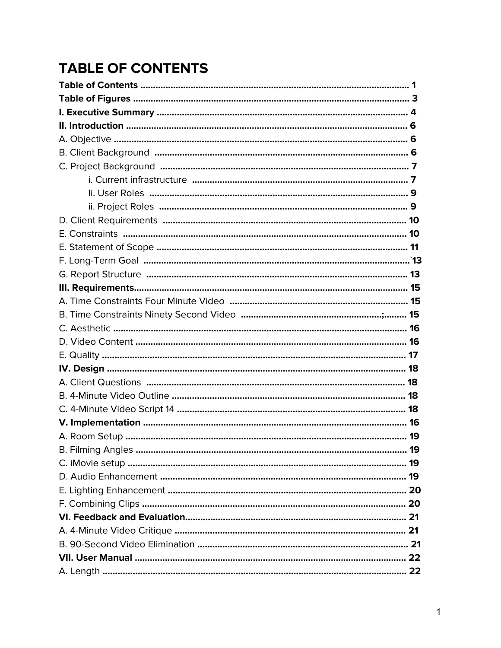# **TABLE OF CONTENTS**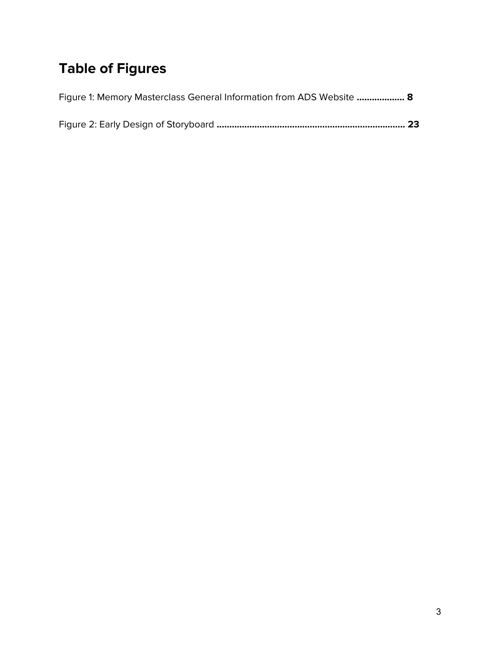# **Table of Figures**

| Figure 1: Memory Masterclass General Information from ADS Website  8 |  |
|----------------------------------------------------------------------|--|
|                                                                      |  |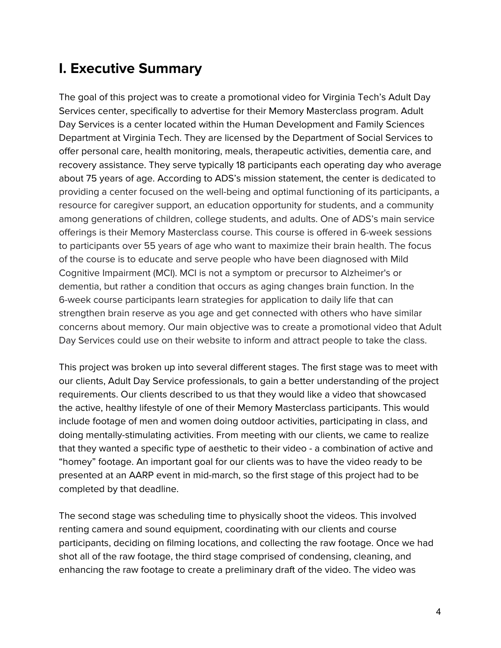### **I. Executive Summary**

The goal of this project was to create a promotional video for Virginia Tech's Adult Day Services center, specifically to advertise for their Memory Masterclass program. Adult Day Services is a center located within the Human Development and Family Sciences Department at Virginia Tech. They are licensed by the Department of Social Services to offer personal care, health monitoring, meals, therapeutic activities, dementia care, and recovery assistance. They serve typically 18 participants each operating day who average about 75 years of age. According to ADS's mission statement, the center is dedicated to providing a center focused on the well-being and optimal functioning of its participants, a resource for caregiver support, an education opportunity for students, and a community among generations of children, college students, and adults. One of ADS's main service offerings is their Memory Masterclass course. This course is offered in 6-week sessions to participants over 55 years of age who want to maximize their brain health. The focus of the course is to educate and serve people who have been diagnosed with Mild Cognitive Impairment (MCI). MCI is not a symptom or precursor to Alzheimer's or dementia, but rather a condition that occurs as aging changes brain function. In the 6-week course participants learn strategies for application to daily life that can strengthen brain reserve as you age and get connected with others who have similar concerns about memory. Our main objective was to create a promotional video that Adult Day Services could use on their website to inform and attract people to take the class.

This project was broken up into several different stages. The first stage was to meet with our clients, Adult Day Service professionals, to gain a better understanding of the project requirements. Our clients described to us that they would like a video that showcased the active, healthy lifestyle of one of their Memory Masterclass participants. This would include footage of men and women doing outdoor activities, participating in class, and doing mentally-stimulating activities. From meeting with our clients, we came to realize that they wanted a specific type of aesthetic to their video - a combination of active and "homey" footage. An important goal for our clients was to have the video ready to be presented at an AARP event in mid-march, so the first stage of this project had to be completed by that deadline.

The second stage was scheduling time to physically shoot the videos. This involved renting camera and sound equipment, coordinating with our clients and course participants, deciding on filming locations, and collecting the raw footage. Once we had shot all of the raw footage, the third stage comprised of condensing, cleaning, and enhancing the raw footage to create a preliminary draft of the video. The video was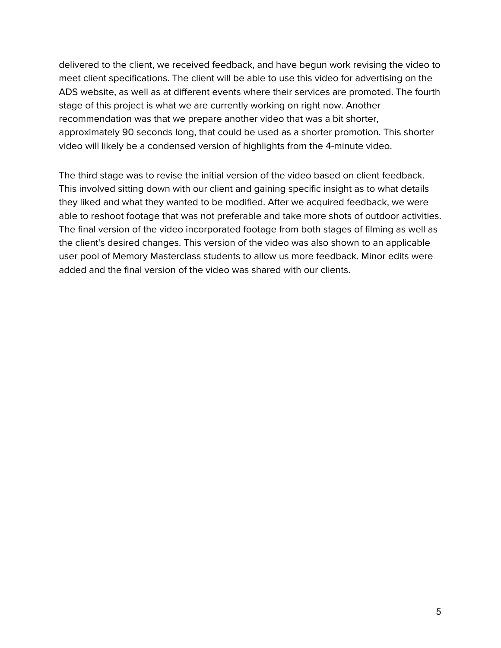delivered to the client, we received feedback, and have begun work revising the video to meet client specifications. The client will be able to use this video for advertising on the ADS website, as well as at different events where their services are promoted. The fourth stage of this project is what we are currently working on right now. Another recommendation was that we prepare another video that was a bit shorter, approximately 90 seconds long, that could be used as a shorter promotion. This shorter video will likely be a condensed version of highlights from the 4-minute video.

The third stage was to revise the initial version of the video based on client feedback. This involved sitting down with our client and gaining specific insight as to what details they liked and what they wanted to be modified. After we acquired feedback, we were able to reshoot footage that was not preferable and take more shots of outdoor activities. The final version of the video incorporated footage from both stages of filming as well as the client's desired changes. This version of the video was also shown to an applicable user pool of Memory Masterclass students to allow us more feedback. Minor edits were added and the final version of the video was shared with our clients.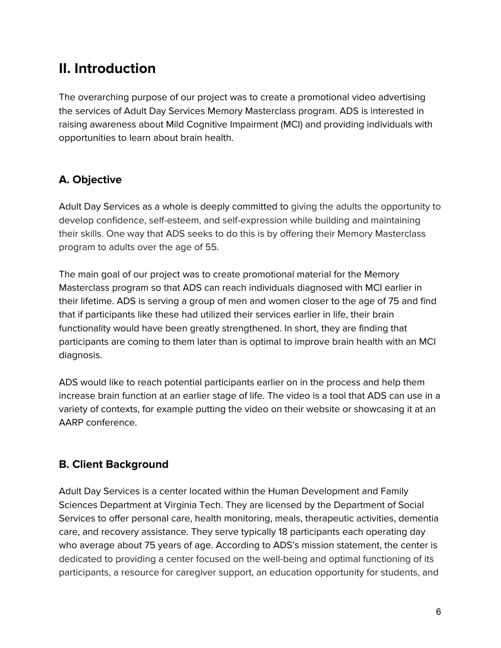# **II. Introduction**

The overarching purpose of our project was to create a promotional video advertising the services of Adult Day Services Memory Masterclass program. ADS is interested in raising awareness about Mild Cognitive Impairment (MCI) and providing individuals with opportunities to learn about brain health.

#### **A. Objective**

Adult Day Services as a whole is deeply committed to giving the adults the opportunity to develop confidence, self-esteem, and self-expression while building and maintaining their skills. One way that ADS seeks to do this is by offering their Memory Masterclass program to adults over the age of 55.

The main goal of our project was to create promotional material for the Memory Masterclass program so that ADS can reach individuals diagnosed with MCI earlier in their lifetime. ADS is serving a group of men and women closer to the age of 75 and find that if participants like these had utilized their services earlier in life, their brain functionality would have been greatly strengthened. In short, they are finding that participants are coming to them later than is optimal to improve brain health with an MCI diagnosis.

ADS would like to reach potential participants earlier on in the process and help them increase brain function at an earlier stage of life. The video is a tool that ADS can use in a variety of contexts, for example putting the video on their website or showcasing it at an AARP conference.

#### **B. Client Background**

Adult Day Services is a center located within the Human Development and Family Sciences Department at Virginia Tech. They are licensed by the Department of Social Services to offer personal care, health monitoring, meals, therapeutic activities, dementia care, and recovery assistance. They serve typically 18 participants each operating day who average about 75 years of age. According to ADS's mission statement, the center is dedicated to providing a center focused on the well-being and optimal functioning of its participants, a resource for caregiver support, an education opportunity for students, and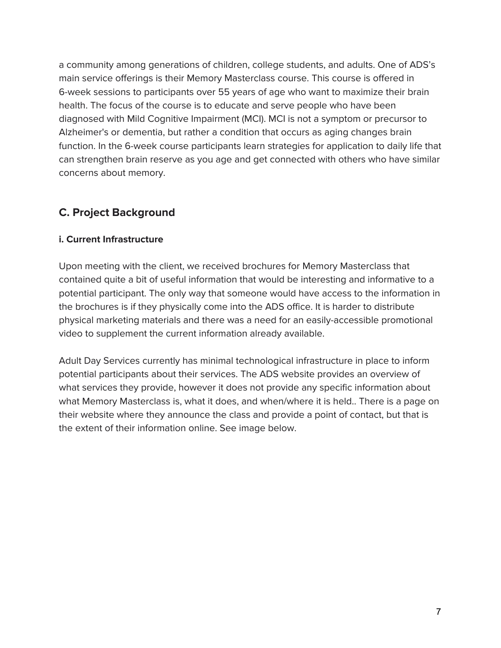a community among generations of children, college students, and adults. One of ADS's main service offerings is their Memory Masterclass course. This course is offered in 6-week sessions to participants over 55 years of age who want to maximize their brain health. The focus of the course is to educate and serve people who have been diagnosed with Mild Cognitive Impairment (MCI). MCI is not a symptom or precursor to Alzheimer's or dementia, but rather a condition that occurs as aging changes brain function. In the 6-week course participants learn strategies for application to daily life that can strengthen brain reserve as you age and get connected with others who have similar concerns about memory.

#### **C. Project Background**

#### **i. Current Infrastructure**

Upon meeting with the client, we received brochures for Memory Masterclass that contained quite a bit of useful information that would be interesting and informative to a potential participant. The only way that someone would have access to the information in the brochures is if they physically come into the ADS office. It is harder to distribute physical marketing materials and there was a need for an easily-accessible promotional video to supplement the current information already available.

Adult Day Services currently has minimal technological infrastructure in place to inform potential participants about their services. The ADS website provides an overview of what services they provide, however it does not provide any specific information about what Memory Masterclass is, what it does, and when/where it is held.. There is a page on their website where they announce the class and provide a point of contact, but that is the extent of their information online. See image below.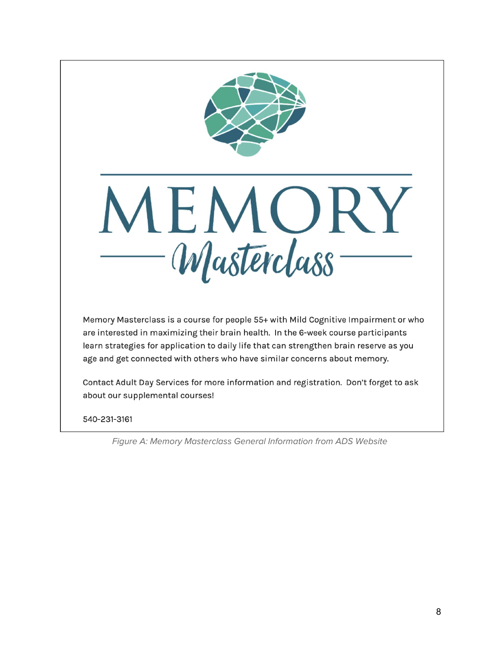



Memory Masterclass is a course for people 55+ with Mild Cognitive Impairment or who are interested in maximizing their brain health. In the 6-week course participants learn strategies for application to daily life that can strengthen brain reserve as you age and get connected with others who have similar concerns about memory.

Contact Adult Day Services for more information and registration. Don't forget to ask about our supplemental courses!

540-231-3161

Figure A: Memory Masterclass General Information from ADS Website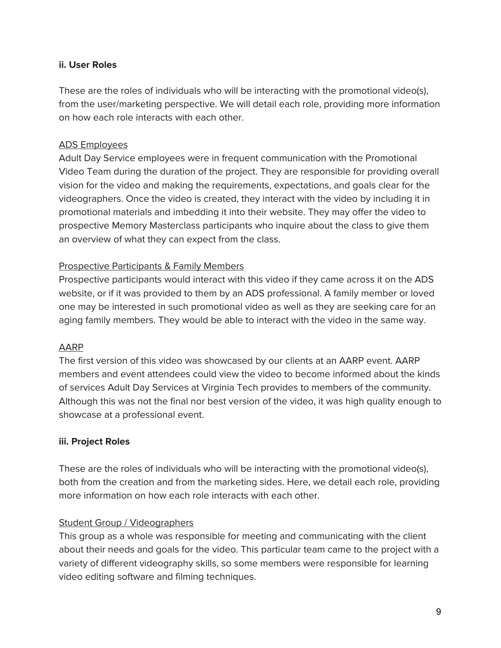#### **ii. User Roles**

These are the roles of individuals who will be interacting with the promotional video(s), from the user/marketing perspective. We will detail each role, providing more information on how each role interacts with each other.

#### ADS Employees

Adult Day Service employees were in frequent communication with the Promotional Video Team during the duration of the project. They are responsible for providing overall vision for the video and making the requirements, expectations, and goals clear for the videographers. Once the video is created, they interact with the video by including it in promotional materials and imbedding it into their website. They may offer the video to prospective Memory Masterclass participants who inquire about the class to give them an overview of what they can expect from the class.

#### Prospective Participants & Family Members

Prospective participants would interact with this video if they came across it on the ADS website, or if it was provided to them by an ADS professional. A family member or loved one may be interested in such promotional video as well as they are seeking care for an aging family members. They would be able to interact with the video in the same way.

#### AARP

The first version of this video was showcased by our clients at an AARP event. AARP members and event attendees could view the video to become informed about the kinds of services Adult Day Services at Virginia Tech provides to members of the community. Although this was not the final nor best version of the video, it was high quality enough to showcase at a professional event.

#### **iii. Project Roles**

These are the roles of individuals who will be interacting with the promotional video(s), both from the creation and from the marketing sides. Here, we detail each role, providing more information on how each role interacts with each other.

#### Student Group / Videographers

This group as a whole was responsible for meeting and communicating with the client about their needs and goals for the video. This particular team came to the project with a variety of different videography skills, so some members were responsible for learning video editing software and filming techniques.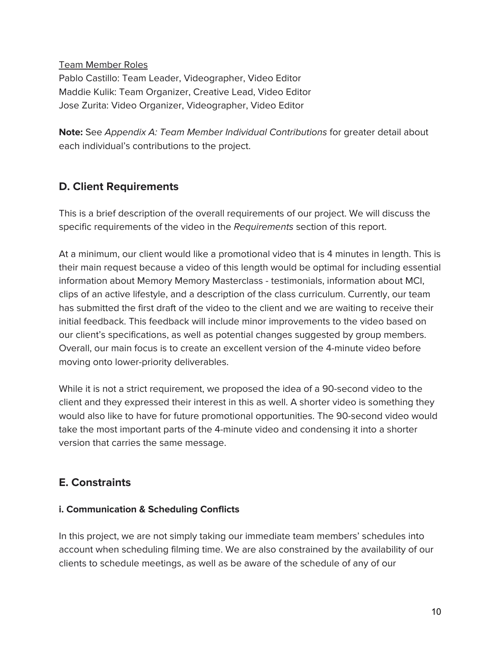Team Member Roles Pablo Castillo: Team Leader, Videographer, Video Editor Maddie Kulik: Team Organizer, Creative Lead, Video Editor Jose Zurita: Video Organizer, Videographer, Video Editor

**Note:** See Appendix A: Team Member Individual Contributions for greater detail about each individual's contributions to the project.

#### **D. Client Requirements**

This is a brief description of the overall requirements of our project. We will discuss the specific requirements of the video in the Requirements section of this report.

At a minimum, our client would like a promotional video that is 4 minutes in length. This is their main request because a video of this length would be optimal for including essential information about Memory Memory Masterclass - testimonials, information about MCI, clips of an active lifestyle, and a description of the class curriculum. Currently, our team has submitted the first draft of the video to the client and we are waiting to receive their initial feedback. This feedback will include minor improvements to the video based on our client's specifications, as well as potential changes suggested by group members. Overall, our main focus is to create an excellent version of the 4-minute video before moving onto lower-priority deliverables.

While it is not a strict requirement, we proposed the idea of a 90-second video to the client and they expressed their interest in this as well. A shorter video is something they would also like to have for future promotional opportunities. The 90-second video would take the most important parts of the 4-minute video and condensing it into a shorter version that carries the same message.

#### **E. Constraints**

#### **i. Communication & Scheduling Conflicts**

In this project, we are not simply taking our immediate team members' schedules into account when scheduling filming time. We are also constrained by the availability of our clients to schedule meetings, as well as be aware of the schedule of any of our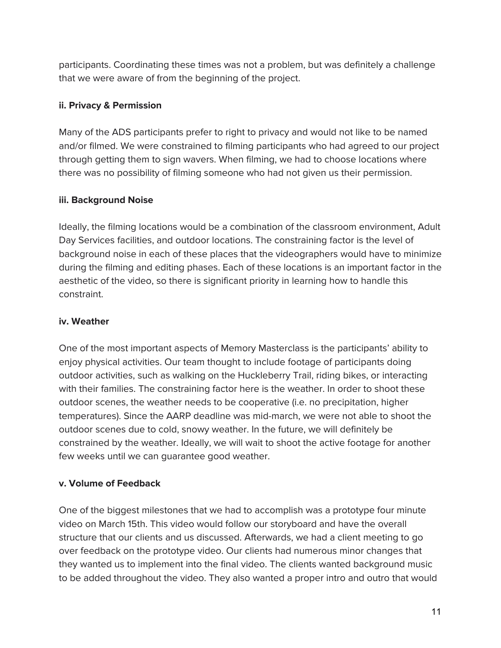participants. Coordinating these times was not a problem, but was definitely a challenge that we were aware of from the beginning of the project.

#### **ii. Privacy & Permission**

Many of the ADS participants prefer to right to privacy and would not like to be named and/or filmed. We were constrained to filming participants who had agreed to our project through getting them to sign wavers. When filming, we had to choose locations where there was no possibility of filming someone who had not given us their permission.

#### **iii. Background Noise**

Ideally, the filming locations would be a combination of the classroom environment, Adult Day Services facilities, and outdoor locations. The constraining factor is the level of background noise in each of these places that the videographers would have to minimize during the filming and editing phases. Each of these locations is an important factor in the aesthetic of the video, so there is significant priority in learning how to handle this constraint.

#### **iv. Weather**

One of the most important aspects of Memory Masterclass is the participants' ability to enjoy physical activities. Our team thought to include footage of participants doing outdoor activities, such as walking on the Huckleberry Trail, riding bikes, or interacting with their families. The constraining factor here is the weather. In order to shoot these outdoor scenes, the weather needs to be cooperative (i.e. no precipitation, higher temperatures). Since the AARP deadline was mid-march, we were not able to shoot the outdoor scenes due to cold, snowy weather. In the future, we will definitely be constrained by the weather. Ideally, we will wait to shoot the active footage for another few weeks until we can guarantee good weather.

#### **v. Volume of Feedback**

One of the biggest milestones that we had to accomplish was a prototype four minute video on March 15th. This video would follow our storyboard and have the overall structure that our clients and us discussed. Afterwards, we had a client meeting to go over feedback on the prototype video. Our clients had numerous minor changes that they wanted us to implement into the final video. The clients wanted background music to be added throughout the video. They also wanted a proper intro and outro that would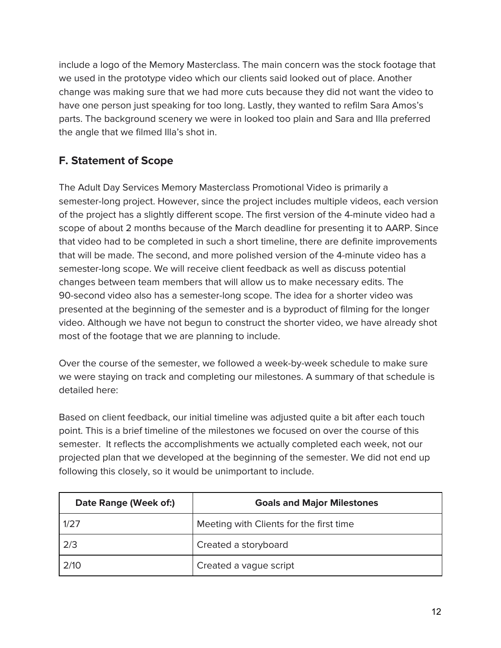include a logo of the Memory Masterclass. The main concern was the stock footage that we used in the prototype video which our clients said looked out of place. Another change was making sure that we had more cuts because they did not want the video to have one person just speaking for too long. Lastly, they wanted to refilm Sara Amos's parts. The background scenery we were in looked too plain and Sara and Illa preferred the angle that we filmed Illa's shot in.

#### **F. Statement of Scope**

The Adult Day Services Memory Masterclass Promotional Video is primarily a semester-long project. However, since the project includes multiple videos, each version of the project has a slightly different scope. The first version of the 4-minute video had a scope of about 2 months because of the March deadline for presenting it to AARP. Since that video had to be completed in such a short timeline, there are definite improvements that will be made. The second, and more polished version of the 4-minute video has a semester-long scope. We will receive client feedback as well as discuss potential changes between team members that will allow us to make necessary edits. The 90-second video also has a semester-long scope. The idea for a shorter video was presented at the beginning of the semester and is a byproduct of filming for the longer video. Although we have not begun to construct the shorter video, we have already shot most of the footage that we are planning to include.

Over the course of the semester, we followed a week-by-week schedule to make sure we were staying on track and completing our milestones. A summary of that schedule is detailed here:

Based on client feedback, our initial timeline was adjusted quite a bit after each touch point. This is a brief timeline of the milestones we focused on over the course of this semester. It reflects the accomplishments we actually completed each week, not our projected plan that we developed at the beginning of the semester. We did not end up following this closely, so it would be unimportant to include.

| Date Range (Week of:) | <b>Goals and Major Milestones</b>       |
|-----------------------|-----------------------------------------|
| 1/27                  | Meeting with Clients for the first time |
| 2/3                   | Created a storyboard                    |
| 2/10                  | Created a vague script                  |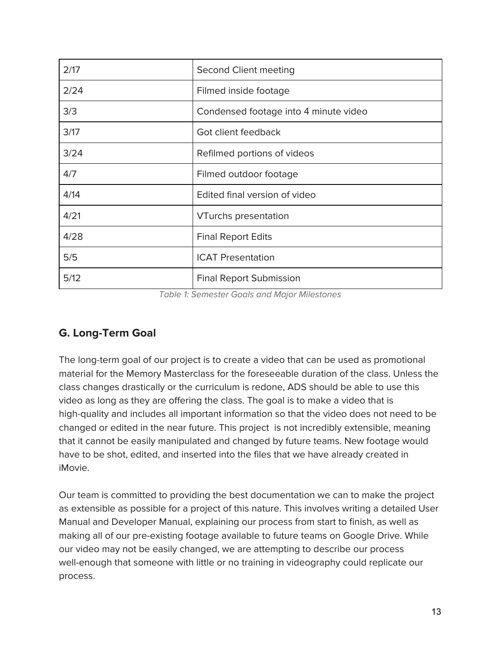| 2/17 | Second Client meeting                 |
|------|---------------------------------------|
| 2/24 | Filmed inside footage                 |
| 3/3  | Condensed footage into 4 minute video |
| 3/17 | Got client feedback                   |
| 3/24 | Refilmed portions of videos           |
| 4/7  | Filmed outdoor footage                |
| 4/14 | Edited final version of video         |
| 4/21 | <b>VTurchs presentation</b>           |
| 4/28 | <b>Final Report Edits</b>             |
| 5/5  | <b>ICAT Presentation</b>              |
| 5/12 | <b>Final Report Submission</b>        |

Table 1: Semester Goals and Major Milestones

#### **G. Long-Term Goal**

The long-term goal of our project is to create a video that can be used as promotional material for the Memory Masterclass for the foreseeable duration of the class. Unless the class changes drastically or the curriculum is redone, ADS should be able to use this video as long as they are offering the class. The goal is to make a video that is high-quality and includes all important information so that the video does not need to be changed or edited in the near future. This project is not incredibly extensible, meaning that it cannot be easily manipulated and changed by future teams. New footage would have to be shot, edited, and inserted into the files that we have already created in iMovie.

Our team is committed to providing the best documentation we can to make the project as extensible as possible for a project of this nature. This involves writing a detailed User Manual and Developer Manual, explaining our process from start to finish, as well as making all of our pre-existing footage available to future teams on Google Drive. While our video may not be easily changed, we are attempting to describe our process well-enough that someone with little or no training in videography could replicate our process.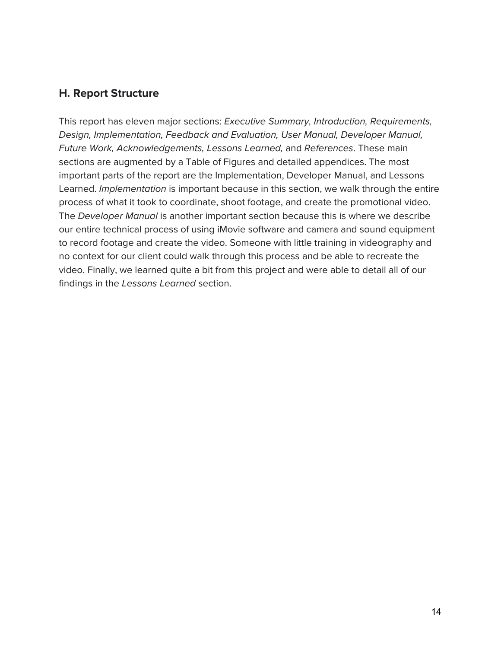#### **H. Report Structure**

This report has eleven major sections: Executive Summary, Introduction, Requirements, Design, Implementation, Feedback and Evaluation, User Manual, Developer Manual, Future Work, Acknowledgements, Lessons Learned, and References. These main sections are augmented by a Table of Figures and detailed appendices. The most important parts of the report are the Implementation, Developer Manual, and Lessons Learned. Implementation is important because in this section, we walk through the entire process of what it took to coordinate, shoot footage, and create the promotional video. The Developer Manual is another important section because this is where we describe our entire technical process of using iMovie software and camera and sound equipment to record footage and create the video. Someone with little training in videography and no context for our client could walk through this process and be able to recreate the video. Finally, we learned quite a bit from this project and were able to detail all of our findings in the Lessons Learned section.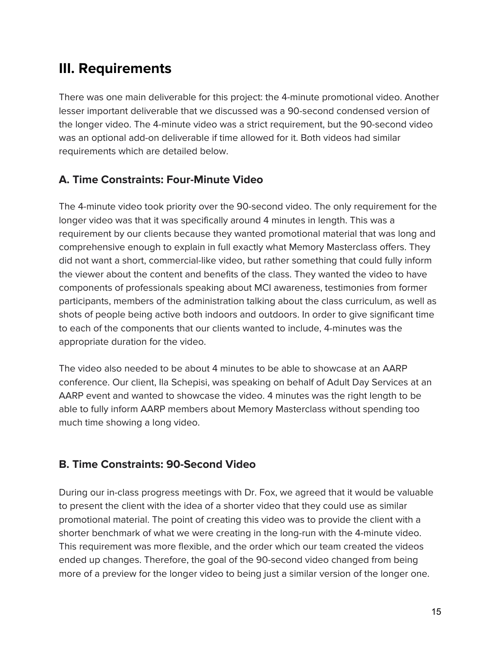# **III. Requirements**

There was one main deliverable for this project: the 4-minute promotional video. Another lesser important deliverable that we discussed was a 90-second condensed version of the longer video. The 4-minute video was a strict requirement, but the 90-second video was an optional add-on deliverable if time allowed for it. Both videos had similar requirements which are detailed below.

#### **A. Time Constraints: Four-Minute Video**

The 4-minute video took priority over the 90-second video. The only requirement for the longer video was that it was specifically around 4 minutes in length. This was a requirement by our clients because they wanted promotional material that was long and comprehensive enough to explain in full exactly what Memory Masterclass offers. They did not want a short, commercial-like video, but rather something that could fully inform the viewer about the content and benefits of the class. They wanted the video to have components of professionals speaking about MCI awareness, testimonies from former participants, members of the administration talking about the class curriculum, as well as shots of people being active both indoors and outdoors. In order to give significant time to each of the components that our clients wanted to include, 4-minutes was the appropriate duration for the video.

The video also needed to be about 4 minutes to be able to showcase at an AARP conference. Our client, Ila Schepisi, was speaking on behalf of Adult Day Services at an AARP event and wanted to showcase the video. 4 minutes was the right length to be able to fully inform AARP members about Memory Masterclass without spending too much time showing a long video.

#### **B. Time Constraints: 90-Second Video**

During our in-class progress meetings with Dr. Fox, we agreed that it would be valuable to present the client with the idea of a shorter video that they could use as similar promotional material. The point of creating this video was to provide the client with a shorter benchmark of what we were creating in the long-run with the 4-minute video. This requirement was more flexible, and the order which our team created the videos ended up changes. Therefore, the goal of the 90-second video changed from being more of a preview for the longer video to being just a similar version of the longer one.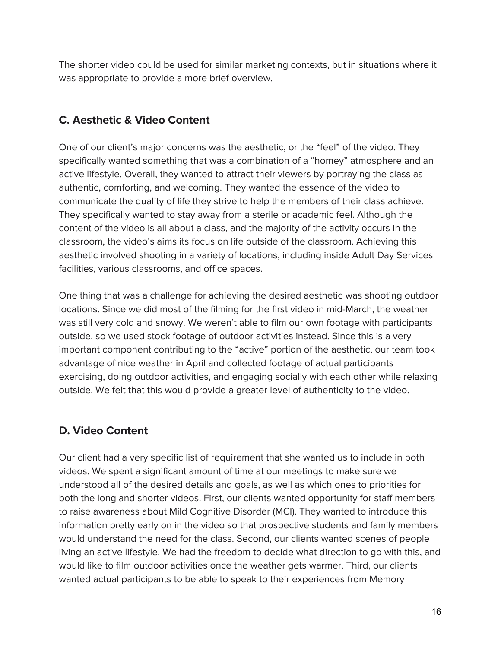The shorter video could be used for similar marketing contexts, but in situations where it was appropriate to provide a more brief overview.

#### **C. Aesthetic & Video Content**

One of our client's major concerns was the aesthetic, or the "feel" of the video. They specifically wanted something that was a combination of a "homey" atmosphere and an active lifestyle. Overall, they wanted to attract their viewers by portraying the class as authentic, comforting, and welcoming. They wanted the essence of the video to communicate the quality of life they strive to help the members of their class achieve. They specifically wanted to stay away from a sterile or academic feel. Although the content of the video is all about a class, and the majority of the activity occurs in the classroom, the video's aims its focus on life outside of the classroom. Achieving this aesthetic involved shooting in a variety of locations, including inside Adult Day Services facilities, various classrooms, and office spaces.

One thing that was a challenge for achieving the desired aesthetic was shooting outdoor locations. Since we did most of the filming for the first video in mid-March, the weather was still very cold and snowy. We weren't able to film our own footage with participants outside, so we used stock footage of outdoor activities instead. Since this is a very important component contributing to the "active" portion of the aesthetic, our team took advantage of nice weather in April and collected footage of actual participants exercising, doing outdoor activities, and engaging socially with each other while relaxing outside. We felt that this would provide a greater level of authenticity to the video.

#### **D. Video Content**

Our client had a very specific list of requirement that she wanted us to include in both videos. We spent a significant amount of time at our meetings to make sure we understood all of the desired details and goals, as well as which ones to priorities for both the long and shorter videos. First, our clients wanted opportunity for staff members to raise awareness about Mild Cognitive Disorder (MCI). They wanted to introduce this information pretty early on in the video so that prospective students and family members would understand the need for the class. Second, our clients wanted scenes of people living an active lifestyle. We had the freedom to decide what direction to go with this, and would like to film outdoor activities once the weather gets warmer. Third, our clients wanted actual participants to be able to speak to their experiences from Memory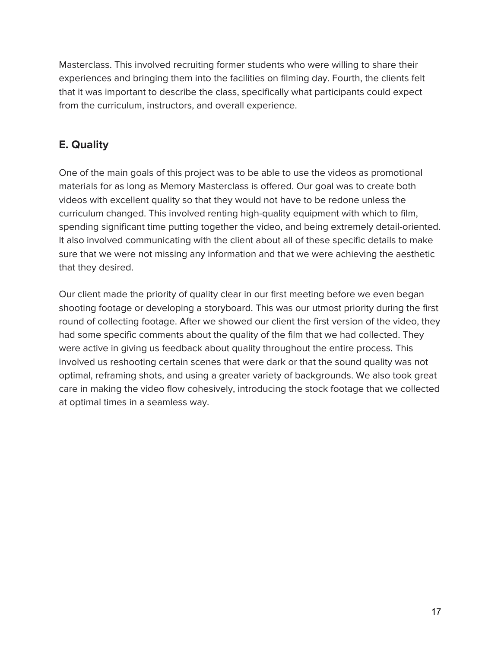Masterclass. This involved recruiting former students who were willing to share their experiences and bringing them into the facilities on filming day. Fourth, the clients felt that it was important to describe the class, specifically what participants could expect from the curriculum, instructors, and overall experience.

#### **E. Quality**

One of the main goals of this project was to be able to use the videos as promotional materials for as long as Memory Masterclass is offered. Our goal was to create both videos with excellent quality so that they would not have to be redone unless the curriculum changed. This involved renting high-quality equipment with which to film, spending significant time putting together the video, and being extremely detail-oriented. It also involved communicating with the client about all of these specific details to make sure that we were not missing any information and that we were achieving the aesthetic that they desired.

Our client made the priority of quality clear in our first meeting before we even began shooting footage or developing a storyboard. This was our utmost priority during the first round of collecting footage. After we showed our client the first version of the video, they had some specific comments about the quality of the film that we had collected. They were active in giving us feedback about quality throughout the entire process. This involved us reshooting certain scenes that were dark or that the sound quality was not optimal, reframing shots, and using a greater variety of backgrounds. We also took great care in making the video flow cohesively, introducing the stock footage that we collected at optimal times in a seamless way.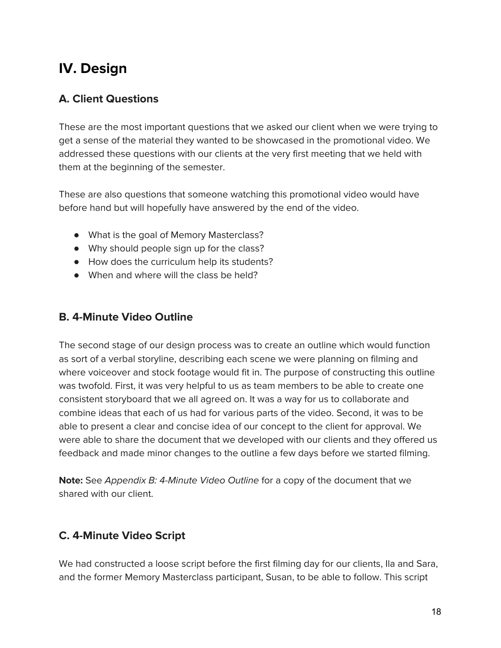# **IV. Design**

#### **A. Client Questions**

These are the most important questions that we asked our client when we were trying to get a sense of the material they wanted to be showcased in the promotional video. We addressed these questions with our clients at the very first meeting that we held with them at the beginning of the semester.

These are also questions that someone watching this promotional video would have before hand but will hopefully have answered by the end of the video.

- What is the goal of Memory Masterclass?
- Why should people sign up for the class?
- How does the curriculum help its students?
- When and where will the class be held?

#### **B. 4-Minute Video Outline**

The second stage of our design process was to create an outline which would function as sort of a verbal storyline, describing each scene we were planning on filming and where voiceover and stock footage would fit in. The purpose of constructing this outline was twofold. First, it was very helpful to us as team members to be able to create one consistent storyboard that we all agreed on. It was a way for us to collaborate and combine ideas that each of us had for various parts of the video. Second, it was to be able to present a clear and concise idea of our concept to the client for approval. We were able to share the document that we developed with our clients and they offered us feedback and made minor changes to the outline a few days before we started filming.

**Note:** See Appendix B: 4-Minute Video Outline for a copy of the document that we shared with our client.

#### **C. 4-Minute Video Script**

We had constructed a loose script before the first filming day for our clients, Ila and Sara, and the former Memory Masterclass participant, Susan, to be able to follow. This script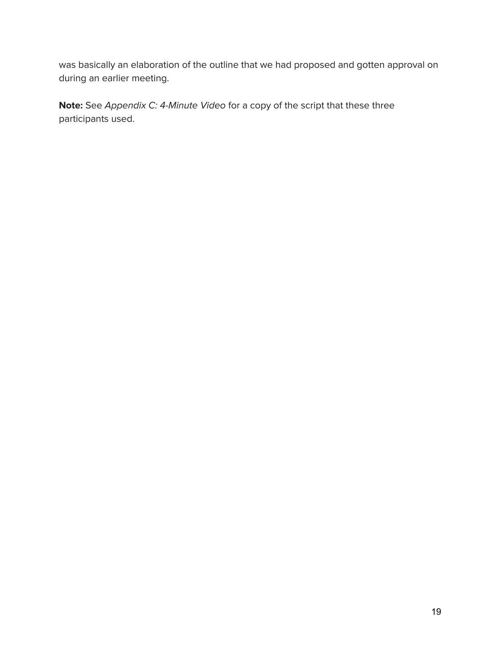was basically an elaboration of the outline that we had proposed and gotten approval on during an earlier meeting.

**Note:** See Appendix C: 4-Minute Video for a copy of the script that these three participants used.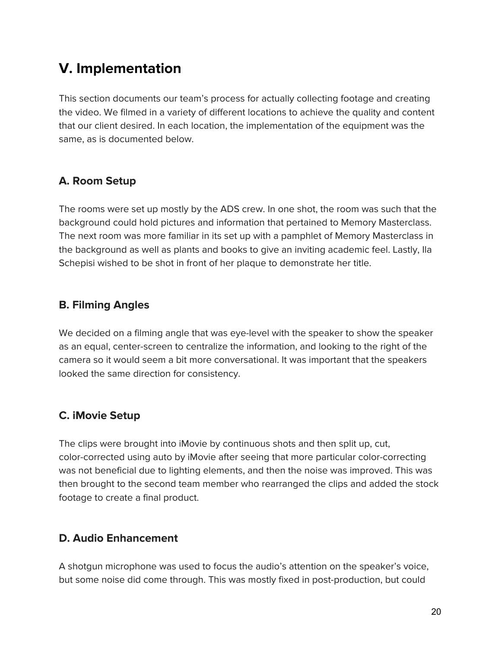# **V. Implementation**

This section documents our team's process for actually collecting footage and creating the video. We filmed in a variety of different locations to achieve the quality and content that our client desired. In each location, the implementation of the equipment was the same, as is documented below.

#### **A. Room Setup**

The rooms were set up mostly by the ADS crew. In one shot, the room was such that the background could hold pictures and information that pertained to Memory Masterclass. The next room was more familiar in its set up with a pamphlet of Memory Masterclass in the background as well as plants and books to give an inviting academic feel. Lastly, Ila Schepisi wished to be shot in front of her plaque to demonstrate her title.

#### **B. Filming Angles**

We decided on a filming angle that was eye-level with the speaker to show the speaker as an equal, center-screen to centralize the information, and looking to the right of the camera so it would seem a bit more conversational. It was important that the speakers looked the same direction for consistency.

#### **C. iMovie Setup**

The clips were brought into iMovie by continuous shots and then split up, cut, color-corrected using auto by iMovie after seeing that more particular color-correcting was not beneficial due to lighting elements, and then the noise was improved. This was then brought to the second team member who rearranged the clips and added the stock footage to create a final product.

#### **D. Audio Enhancement**

A shotgun microphone was used to focus the audio's attention on the speaker's voice, but some noise did come through. This was mostly fixed in post-production, but could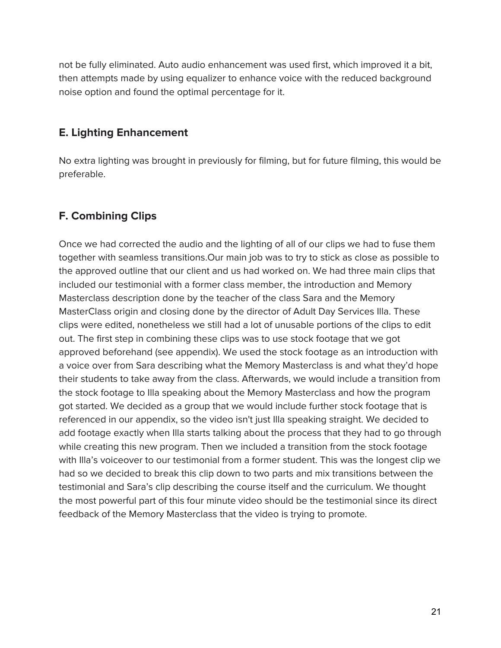not be fully eliminated. Auto audio enhancement was used first, which improved it a bit, then attempts made by using equalizer to enhance voice with the reduced background noise option and found the optimal percentage for it.

#### **E. Lighting Enhancement**

No extra lighting was brought in previously for filming, but for future filming, this would be preferable.

#### **F. Combining Clips**

Once we had corrected the audio and the lighting of all of our clips we had to fuse them together with seamless transitions.Our main job was to try to stick as close as possible to the approved outline that our client and us had worked on. We had three main clips that included our testimonial with a former class member, the introduction and Memory Masterclass description done by the teacher of the class Sara and the Memory MasterClass origin and closing done by the director of Adult Day Services Illa. These clips were edited, nonetheless we still had a lot of unusable portions of the clips to edit out. The first step in combining these clips was to use stock footage that we got approved beforehand (see appendix). We used the stock footage as an introduction with a voice over from Sara describing what the Memory Masterclass is and what they'd hope their students to take away from the class. Afterwards, we would include a transition from the stock footage to Illa speaking about the Memory Masterclass and how the program got started. We decided as a group that we would include further stock footage that is referenced in our appendix, so the video isn't just Illa speaking straight. We decided to add footage exactly when Illa starts talking about the process that they had to go through while creating this new program. Then we included a transition from the stock footage with Illa's voiceover to our testimonial from a former student. This was the longest clip we had so we decided to break this clip down to two parts and mix transitions between the testimonial and Sara's clip describing the course itself and the curriculum. We thought the most powerful part of this four minute video should be the testimonial since its direct feedback of the Memory Masterclass that the video is trying to promote.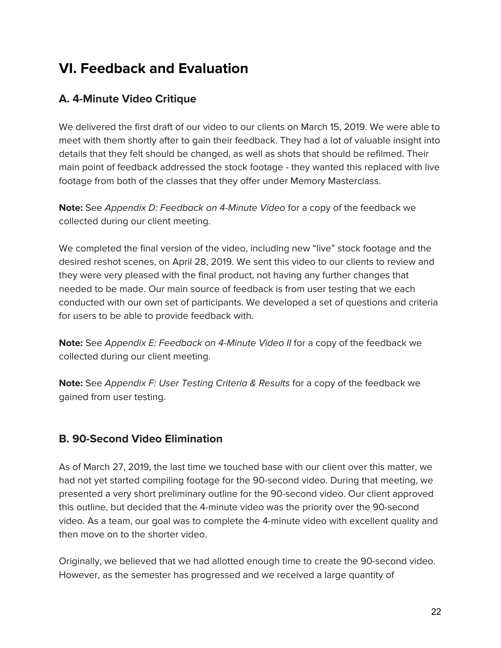# **VI. Feedback and Evaluation**

#### **A. 4-Minute Video Critique**

We delivered the first draft of our video to our clients on March 15, 2019. We were able to meet with them shortly after to gain their feedback. They had a lot of valuable insight into details that they felt should be changed, as well as shots that should be refilmed. Their main point of feedback addressed the stock footage - they wanted this replaced with live footage from both of the classes that they offer under Memory Masterclass.

**Note:** See Appendix D: Feedback on 4-Minute Video for a copy of the feedback we collected during our client meeting.

We completed the final version of the video, including new "live" stock footage and the desired reshot scenes, on April 28, 2019. We sent this video to our clients to review and they were very pleased with the final product, not having any further changes that needed to be made. Our main source of feedback is from user testing that we each conducted with our own set of participants. We developed a set of questions and criteria for users to be able to provide feedback with.

**Note:** See Appendix E: Feedback on 4-Minute Video II for a copy of the feedback we collected during our client meeting.

**Note:** See Appendix F: User Testing Criteria & Results for a copy of the feedback we gained from user testing.

#### **B. 90-Second Video Elimination**

As of March 27, 2019, the last time we touched base with our client over this matter, we had not yet started compiling footage for the 90-second video. During that meeting, we presented a very short preliminary outline for the 90-second video. Our client approved this outline, but decided that the 4-minute video was the priority over the 90-second video. As a team, our goal was to complete the 4-minute video with excellent quality and then move on to the shorter video.

Originally, we believed that we had allotted enough time to create the 90-second video. However, as the semester has progressed and we received a large quantity of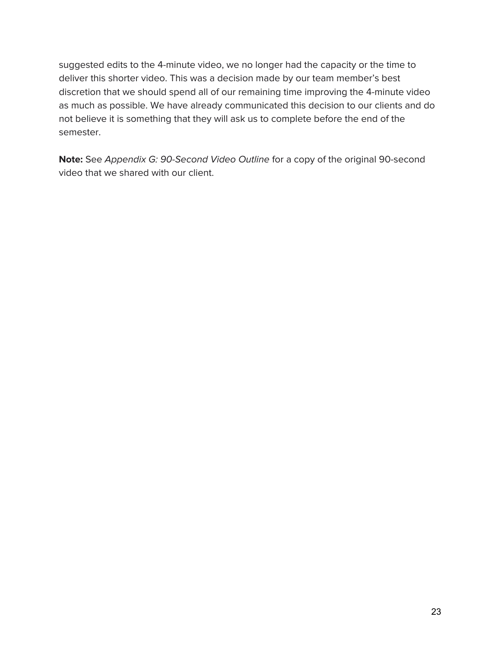suggested edits to the 4-minute video, we no longer had the capacity or the time to deliver this shorter video. This was a decision made by our team member's best discretion that we should spend all of our remaining time improving the 4-minute video as much as possible. We have already communicated this decision to our clients and do not believe it is something that they will ask us to complete before the end of the semester.

**Note:** See Appendix G: 90-Second Video Outline for a copy of the original 90-second video that we shared with our client.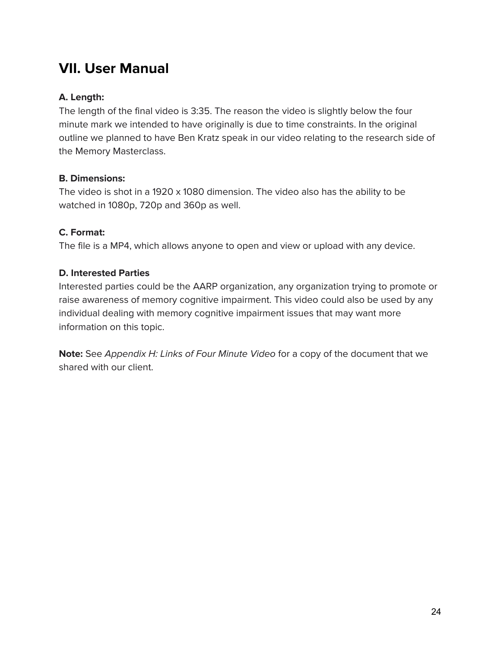### **VII. User Manual**

#### **A. Length:**

The length of the final video is 3:35. The reason the video is slightly below the four minute mark we intended to have originally is due to time constraints. In the original outline we planned to have Ben Kratz speak in our video relating to the research side of the Memory Masterclass.

#### **B. Dimensions:**

The video is shot in a 1920 x 1080 dimension. The video also has the ability to be watched in 1080p, 720p and 360p as well.

#### **C. Format:**

The file is a MP4, which allows anyone to open and view or upload with any device.

#### **D. Interested Parties**

Interested parties could be the AARP organization, any organization trying to promote or raise awareness of memory cognitive impairment. This video could also be used by any individual dealing with memory cognitive impairment issues that may want more information on this topic.

**Note:** See Appendix H: Links of Four Minute Video for a copy of the document that we shared with our client.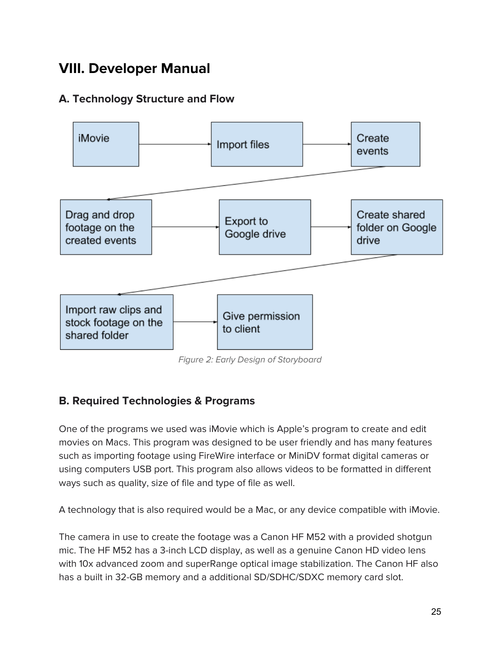# **VIII. Developer Manual**

#### **A. Technology Structure and Flow**



Figure 2: Early Design of Storyboard

#### **B. Required Technologies & Programs**

One of the programs we used was iMovie which is Apple's program to create and edit movies on Macs. This program was designed to be user friendly and has many features such as importing footage using FireWire interface or MiniDV format digital cameras or using computers USB port. This program also allows videos to be formatted in different ways such as quality, size of file and type of file as well.

A technology that is also required would be a Mac, or any device compatible with iMovie.

The camera in use to create the footage was a Canon HF M52 with a provided shotgun mic. The HF M52 has a 3-inch LCD display, as well as a genuine Canon HD video lens with 10x advanced zoom and superRange optical image stabilization. The Canon HF also has a built in 32-GB memory and a additional SD/SDHC/SDXC memory card slot.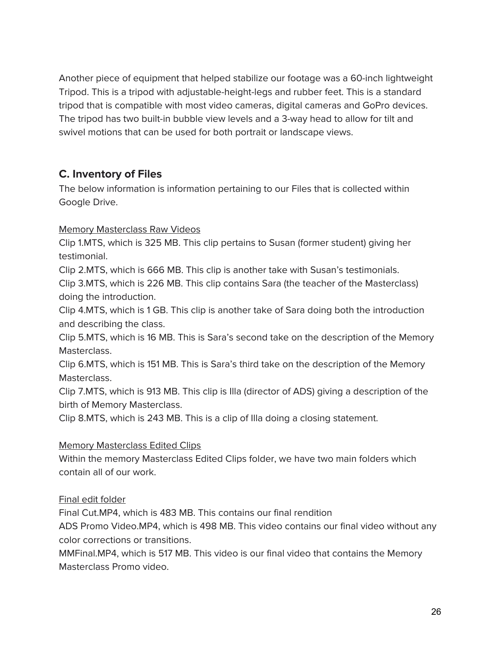Another piece of equipment that helped stabilize our footage was a 60-inch lightweight Tripod. This is a tripod with adjustable-height-legs and rubber feet. This is a standard tripod that is compatible with most video cameras, digital cameras and GoPro devices. The tripod has two built-in bubble view levels and a 3-way head to allow for tilt and swivel motions that can be used for both portrait or landscape views.

#### **C. Inventory of Files**

The below information is information pertaining to our Files that is collected within Google Drive.

Memory Masterclass Raw Videos

Clip 1.MTS, which is 325 MB. This clip pertains to Susan (former student) giving her testimonial.

Clip 2.MTS, which is 666 MB. This clip is another take with Susan's testimonials.

Clip 3.MTS, which is 226 MB. This clip contains Sara (the teacher of the Masterclass) doing the introduction.

Clip 4.MTS, which is 1 GB. This clip is another take of Sara doing both the introduction and describing the class.

Clip 5.MTS, which is 16 MB. This is Sara's second take on the description of the Memory Masterclass.

Clip 6.MTS, which is 151 MB. This is Sara's third take on the description of the Memory Masterclass.

Clip 7.MTS, which is 913 MB. This clip is Illa (director of ADS) giving a description of the birth of Memory Masterclass.

Clip 8.MTS, which is 243 MB. This is a clip of Illa doing a closing statement.

#### Memory Masterclass Edited Clips

Within the memory Masterclass Edited Clips folder, we have two main folders which contain all of our work.

#### Final edit folder

Final Cut.MP4, which is 483 MB. This contains our final rendition

ADS Promo Video.MP4, which is 498 MB. This video contains our final video without any color corrections or transitions.

MMFinal.MP4, which is 517 MB. This video is our final video that contains the Memory Masterclass Promo video.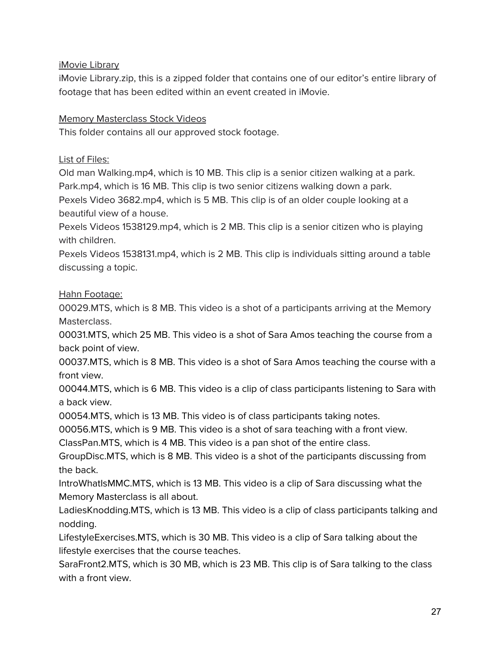iMovie Library

iMovie Library.zip, this is a zipped folder that contains one of our editor's entire library of footage that has been edited within an event created in iMovie.

#### Memory Masterclass Stock Videos

This folder contains all our approved stock footage.

List of Files:

Old man Walking.mp4, which is 10 MB. This clip is a senior citizen walking at a park. Park.mp4, which is 16 MB. This clip is two senior citizens walking down a park.

Pexels Video 3682.mp4, which is 5 MB. This clip is of an older couple looking at a beautiful view of a house.

Pexels Videos 1538129.mp4, which is 2 MB. This clip is a senior citizen who is playing with children.

Pexels Videos 1538131.mp4, which is 2 MB. This clip is individuals sitting around a table discussing a topic.

Hahn Footage:

00029.MTS, which is 8 MB. This video is a shot of a participants arriving at the Memory Masterclass.

00031.MTS, which 25 MB. This video is a shot of Sara Amos teaching the course from a back point of view.

00037.MTS, which is 8 MB. This video is a shot of Sara Amos teaching the course with a front view.

00044.MTS, which is 6 MB. This video is a clip of class participants listening to Sara with a back view.

00054.MTS, which is 13 MB. This video is of class participants taking notes.

00056.MTS, which is 9 MB. This video is a shot of sara teaching with a front view.

ClassPan.MTS, which is 4 MB. This video is a pan shot of the entire class.

GroupDisc.MTS, which is 8 MB. This video is a shot of the participants discussing from the back.

IntroWhatIsMMC.MTS, which is 13 MB. This video is a clip of Sara discussing what the Memory Masterclass is all about.

LadiesKnodding.MTS, which is 13 MB. This video is a clip of class participants talking and nodding.

LifestyleExercises.MTS, which is 30 MB. This video is a clip of Sara talking about the lifestyle exercises that the course teaches.

SaraFront2.MTS, which is 30 MB, which is 23 MB. This clip is of Sara talking to the class with a front view.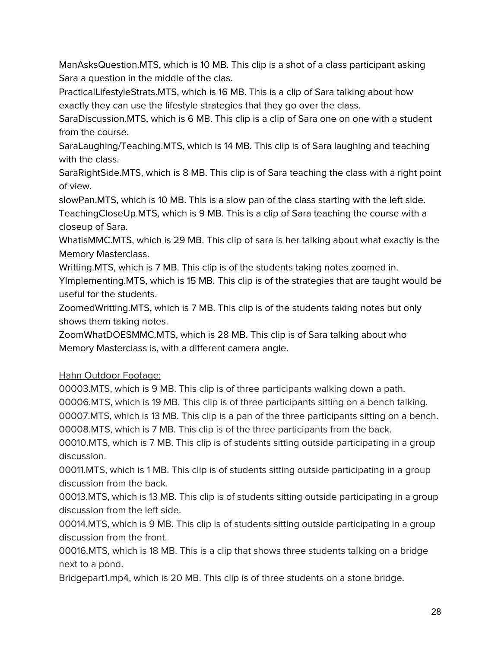ManAsksQuestion.MTS, which is 10 MB. This clip is a shot of a class participant asking Sara a question in the middle of the clas.

PracticalLifestyleStrats.MTS, which is 16 MB. This is a clip of Sara talking about how exactly they can use the lifestyle strategies that they go over the class.

SaraDiscussion.MTS, which is 6 MB. This clip is a clip of Sara one on one with a student from the course.

SaraLaughing/Teaching.MTS, which is 14 MB. This clip is of Sara laughing and teaching with the class.

SaraRightSide.MTS, which is 8 MB. This clip is of Sara teaching the class with a right point of view.

slowPan.MTS, which is 10 MB. This is a slow pan of the class starting with the left side. TeachingCloseUp.MTS, which is 9 MB. This is a clip of Sara teaching the course with a closeup of Sara.

WhatisMMC.MTS, which is 29 MB. This clip of sara is her talking about what exactly is the Memory Masterclass.

Writting.MTS, which is 7 MB. This clip is of the students taking notes zoomed in.

YImplementing.MTS, which is 15 MB. This clip is of the strategies that are taught would be useful for the students.

ZoomedWritting.MTS, which is 7 MB. This clip is of the students taking notes but only shows them taking notes.

ZoomWhatDOESMMC.MTS, which is 28 MB. This clip is of Sara talking about who Memory Masterclass is, with a different camera angle.

#### Hahn Outdoor Footage:

00003.MTS, which is 9 MB. This clip is of three participants walking down a path.

00006.MTS, which is 19 MB. This clip is of three participants sitting on a bench talking.

00007.MTS, which is 13 MB. This clip is a pan of the three participants sitting on a bench. 00008.MTS, which is 7 MB. This clip is of the three participants from the back.

00010.MTS, which is 7 MB. This clip is of students sitting outside participating in a group discussion.

00011.MTS, which is 1 MB. This clip is of students sitting outside participating in a group discussion from the back.

00013.MTS, which is 13 MB. This clip is of students sitting outside participating in a group discussion from the left side.

00014.MTS, which is 9 MB. This clip is of students sitting outside participating in a group discussion from the front.

00016.MTS, which is 18 MB. This is a clip that shows three students talking on a bridge next to a pond.

Bridgepart1.mp4, which is 20 MB. This clip is of three students on a stone bridge.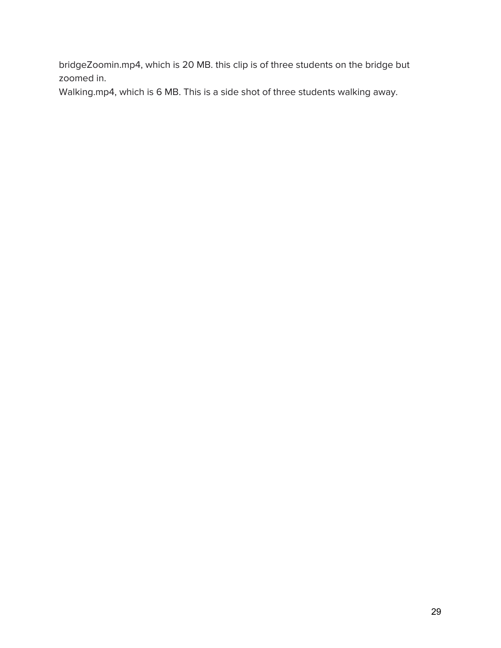bridgeZoomin.mp4, which is 20 MB. this clip is of three students on the bridge but zoomed in.

Walking.mp4, which is 6 MB. This is a side shot of three students walking away.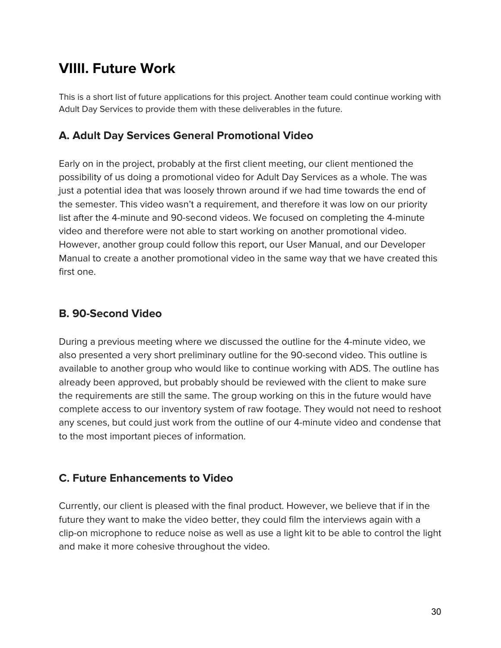# **VIIII. Future Work**

This is a short list of future applications for this project. Another team could continue working with Adult Day Services to provide them with these deliverables in the future.

#### **A. Adult Day Services General Promotional Video**

Early on in the project, probably at the first client meeting, our client mentioned the possibility of us doing a promotional video for Adult Day Services as a whole. The was just a potential idea that was loosely thrown around if we had time towards the end of the semester. This video wasn't a requirement, and therefore it was low on our priority list after the 4-minute and 90-second videos. We focused on completing the 4-minute video and therefore were not able to start working on another promotional video. However, another group could follow this report, our User Manual, and our Developer Manual to create a another promotional video in the same way that we have created this first one.

#### **B. 90-Second Video**

During a previous meeting where we discussed the outline for the 4-minute video, we also presented a very short preliminary outline for the 90-second video. This outline is available to another group who would like to continue working with ADS. The outline has already been approved, but probably should be reviewed with the client to make sure the requirements are still the same. The group working on this in the future would have complete access to our inventory system of raw footage. They would not need to reshoot any scenes, but could just work from the outline of our 4-minute video and condense that to the most important pieces of information.

#### **C. Future Enhancements to Video**

Currently, our client is pleased with the final product. However, we believe that if in the future they want to make the video better, they could film the interviews again with a clip-on microphone to reduce noise as well as use a light kit to be able to control the light and make it more cohesive throughout the video.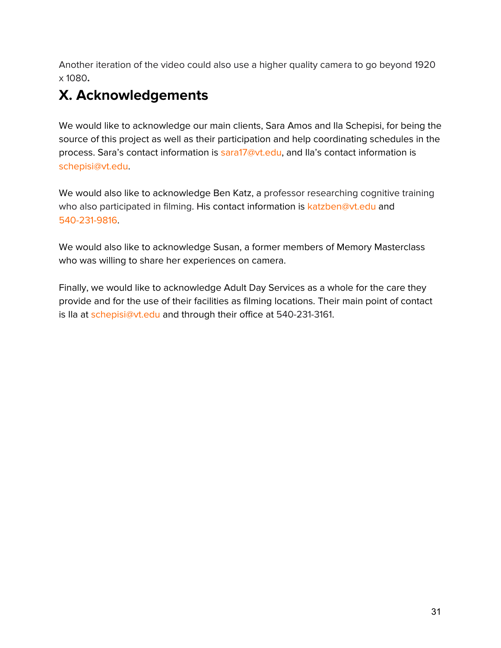Another iteration of the video could also use a higher quality camera to go beyond 1920 x 1080**.**

# **X. Acknowledgements**

We would like to acknowledge our main clients, Sara Amos and Ila Schepisi, for being the source of this project as well as their participation and help coordinating schedules in the process. Sara's contact information is sara17@vt.edu, and Ila's contact information is schepisi@vt.edu.

We would also like to acknowledge Ben Katz, a professor researching cognitive training who also participated in filming. His contact information is katzben@vt.edu and 540-231-9816.

We would also like to acknowledge Susan, a former members of Memory Masterclass who was willing to share her experiences on camera.

Finally, we would like to acknowledge Adult Day Services as a whole for the care they provide and for the use of their facilities as filming locations. Their main point of contact is Ila at schepisi@vt.edu and through their office at 540-231-3161.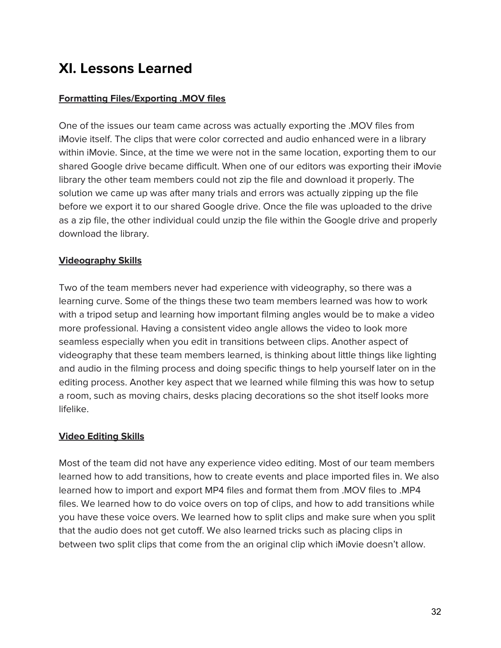# **XI. Lessons Learned**

#### **Formatting Files/Exporting .MOV files**

One of the issues our team came across was actually exporting the .MOV files from iMovie itself. The clips that were color corrected and audio enhanced were in a library within iMovie. Since, at the time we were not in the same location, exporting them to our shared Google drive became difficult. When one of our editors was exporting their iMovie library the other team members could not zip the file and download it properly. The solution we came up was after many trials and errors was actually zipping up the file before we export it to our shared Google drive. Once the file was uploaded to the drive as a zip file, the other individual could unzip the file within the Google drive and properly download the library.

#### **Videography Skills**

Two of the team members never had experience with videography, so there was a learning curve. Some of the things these two team members learned was how to work with a tripod setup and learning how important filming angles would be to make a video more professional. Having a consistent video angle allows the video to look more seamless especially when you edit in transitions between clips. Another aspect of videography that these team members learned, is thinking about little things like lighting and audio in the filming process and doing specific things to help yourself later on in the editing process. Another key aspect that we learned while filming this was how to setup a room, such as moving chairs, desks placing decorations so the shot itself looks more lifelike.

#### **Video Editing Skills**

Most of the team did not have any experience video editing. Most of our team members learned how to add transitions, how to create events and place imported files in. We also learned how to import and export MP4 files and format them from .MOV files to .MP4 files. We learned how to do voice overs on top of clips, and how to add transitions while you have these voice overs. We learned how to split clips and make sure when you split that the audio does not get cutoff. We also learned tricks such as placing clips in between two split clips that come from the an original clip which iMovie doesn't allow.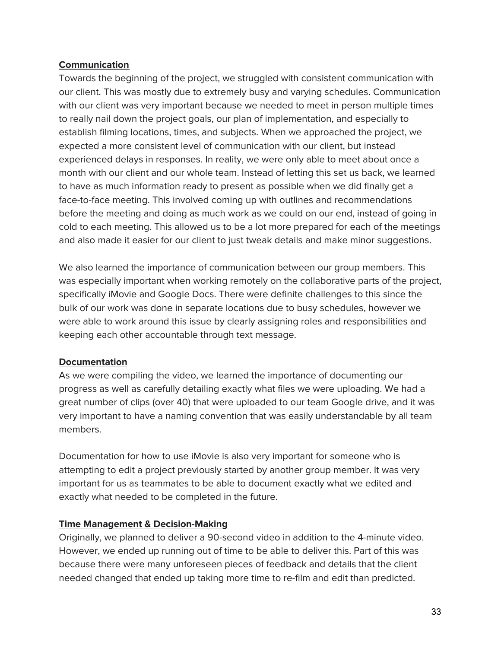#### **Communication**

Towards the beginning of the project, we struggled with consistent communication with our client. This was mostly due to extremely busy and varying schedules. Communication with our client was very important because we needed to meet in person multiple times to really nail down the project goals, our plan of implementation, and especially to establish filming locations, times, and subjects. When we approached the project, we expected a more consistent level of communication with our client, but instead experienced delays in responses. In reality, we were only able to meet about once a month with our client and our whole team. Instead of letting this set us back, we learned to have as much information ready to present as possible when we did finally get a face-to-face meeting. This involved coming up with outlines and recommendations before the meeting and doing as much work as we could on our end, instead of going in cold to each meeting. This allowed us to be a lot more prepared for each of the meetings and also made it easier for our client to just tweak details and make minor suggestions.

We also learned the importance of communication between our group members. This was especially important when working remotely on the collaborative parts of the project, specifically iMovie and Google Docs. There were definite challenges to this since the bulk of our work was done in separate locations due to busy schedules, however we were able to work around this issue by clearly assigning roles and responsibilities and keeping each other accountable through text message.

#### **Documentation**

As we were compiling the video, we learned the importance of documenting our progress as well as carefully detailing exactly what files we were uploading. We had a great number of clips (over 40) that were uploaded to our team Google drive, and it was very important to have a naming convention that was easily understandable by all team members.

Documentation for how to use iMovie is also very important for someone who is attempting to edit a project previously started by another group member. It was very important for us as teammates to be able to document exactly what we edited and exactly what needed to be completed in the future.

#### **Time Management & Decision-Making**

Originally, we planned to deliver a 90-second video in addition to the 4-minute video. However, we ended up running out of time to be able to deliver this. Part of this was because there were many unforeseen pieces of feedback and details that the client needed changed that ended up taking more time to re-film and edit than predicted.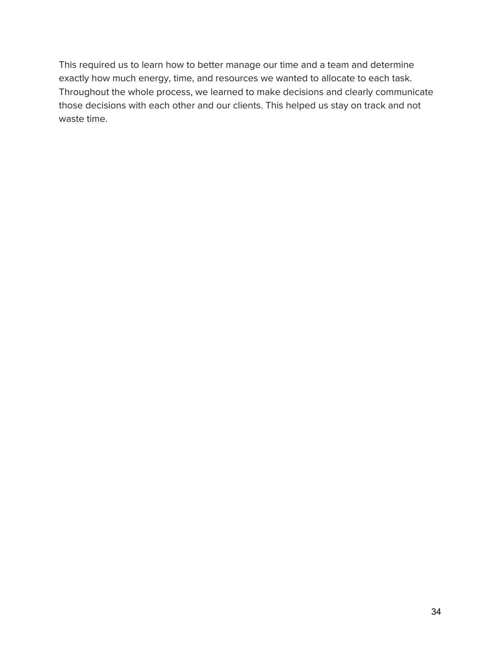This required us to learn how to better manage our time and a team and determine exactly how much energy, time, and resources we wanted to allocate to each task. Throughout the whole process, we learned to make decisions and clearly communicate those decisions with each other and our clients. This helped us stay on track and not waste time.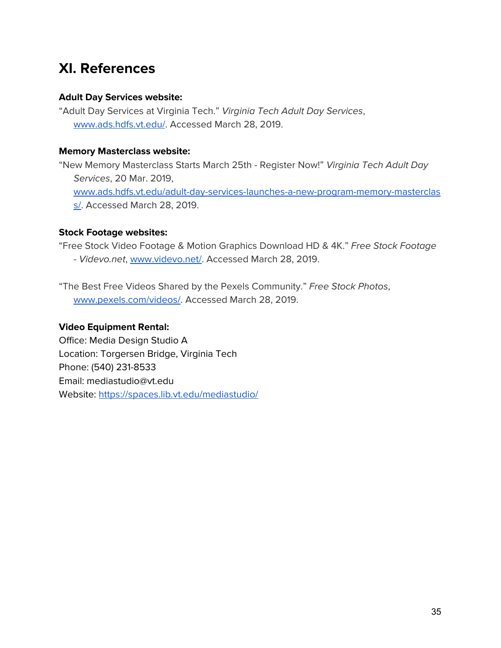# **XI. References**

#### **Adult Day Services website:**

"Adult Day Services at Virginia Tech." Virginia Tech Adult Day Services, [www.ads.hdfs.vt.edu/.](http://www.ads.hdfs.vt.edu/) Accessed March 28, 2019.

#### **Memory Masterclass website:**

"New Memory Masterclass Starts March 25th - Register Now!" Virginia Tech Adult Day Services, 20 Mar. 2019, [www.ads.hdfs.vt.edu/adult-day-services-launches-a-new-program-memory-masterclas](http://www.ads.hdfs.vt.edu/adult-day-services-launches-a-new-program-memory-masterclass/) [s/](http://www.ads.hdfs.vt.edu/adult-day-services-launches-a-new-program-memory-masterclass/). Accessed March 28, 2019.

#### **Stock Footage websites:**

"Free Stock Video Footage & Motion Graphics Download HD & 4K." Free Stock Footage - Videvo.net, [www.videvo.net/.](http://www.videvo.net/) Accessed March 28, 2019.

"The Best Free Videos Shared by the Pexels Community." Free Stock Photos, [www.pexels.com/videos/](http://www.pexels.com/videos/). Accessed March 28, 2019.

#### **Video Equipment Rental:**

Office: Media Design Studio A Location: Torgersen Bridge, Virginia Tech Phone: (540) 231-8533 Email: mediastudio@vt.edu Website: <https://spaces.lib.vt.edu/mediastudio/>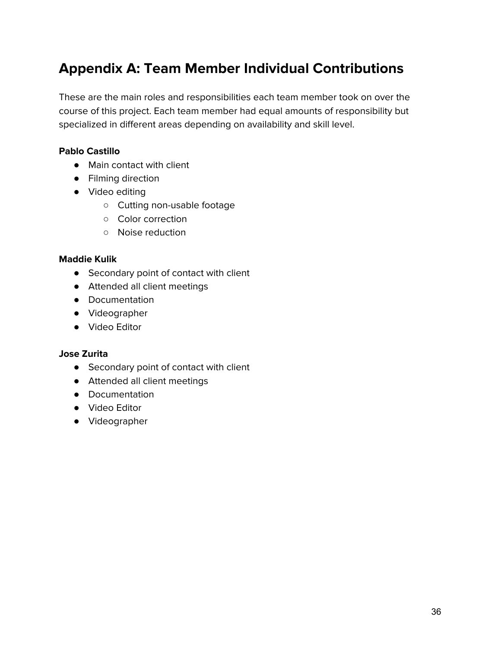# **Appendix A: Team Member Individual Contributions**

These are the main roles and responsibilities each team member took on over the course of this project. Each team member had equal amounts of responsibility but specialized in different areas depending on availability and skill level.

#### **Pablo Castillo**

- Main contact with client
- Filming direction
- Video editing
	- Cutting non-usable footage
	- Color correction
	- Noise reduction

#### **Maddie Kulik**

- Secondary point of contact with client
- Attended all client meetings
- Documentation
- Videographer
- Video Editor

#### **Jose Zurita**

- Secondary point of contact with client
- Attended all client meetings
- Documentation
- Video Editor
- Videographer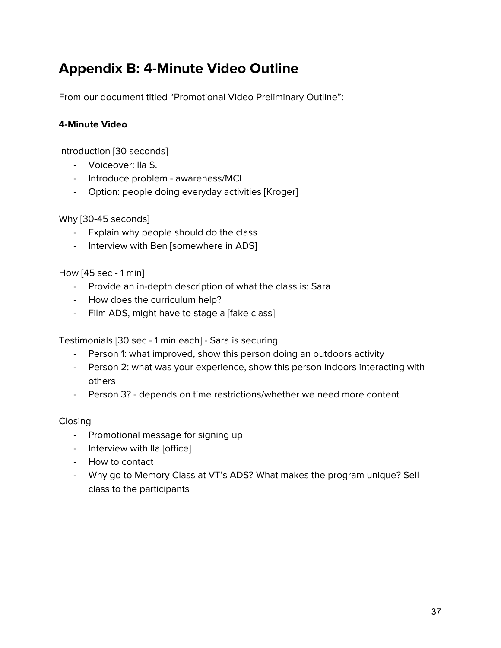# **Appendix B: 4-Minute Video Outline**

From our document titled "Promotional Video Preliminary Outline":

#### **4-Minute Video**

Introduction [30 seconds]

- Voiceover: Ila S.
- Introduce problem awareness/MCI
- Option: people doing everyday activities [Kroger]

Why [30-45 seconds]

- Explain why people should do the class
- Interview with Ben [somewhere in ADS]

How [45 sec - 1 min]

- Provide an in-depth description of what the class is: Sara
- How does the curriculum help?
- Film ADS, might have to stage a [fake class]

Testimonials [30 sec - 1 min each] - Sara is securing

- Person 1: what improved, show this person doing an outdoors activity
- Person 2: what was your experience, show this person indoors interacting with others
- Person 3? depends on time restrictions/whether we need more content

Closing

- Promotional message for signing up
- Interview with Ila [office]
- How to contact
- Why go to Memory Class at VT's ADS? What makes the program unique? Sell class to the participants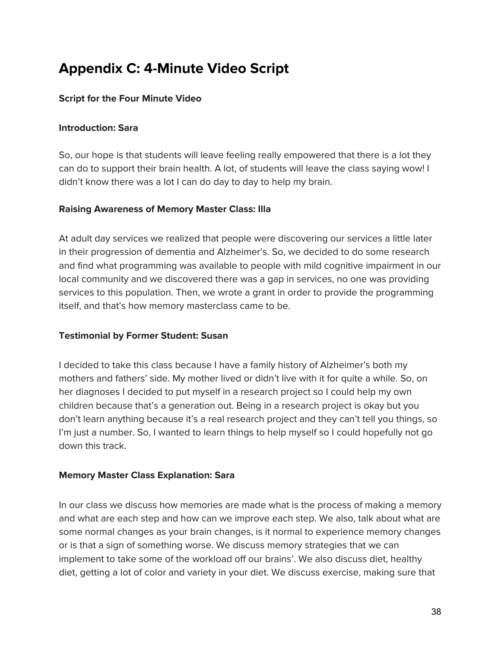# **Appendix C: 4-Minute Video Script**

#### **Script for the Four Minute Video**

#### **Introduction: Sara**

So, our hope is that students will leave feeling really empowered that there is a lot they can do to support their brain health. A lot, of students will leave the class saying wow! I didn't know there was a lot I can do day to day to help my brain.

#### **Raising Awareness of Memory Master Class: Illa**

At adult day services we realized that people were discovering our services a little later in their progression of dementia and Alzheimer's. So, we decided to do some research and find what programming was available to people with mild cognitive impairment in our local community and we discovered there was a gap in services, no one was providing services to this population. Then, we wrote a grant in order to provide the programming itself, and that's how memory masterclass came to be.

#### **Testimonial by Former Student: Susan**

I decided to take this class because I have a family history of Alzheimer's both my mothers and fathers' side. My mother lived or didn't live with it for quite a while. So, on her diagnoses I decided to put myself in a research project so I could help my own children because that's a generation out. Being in a research project is okay but you don't learn anything because it's a real research project and they can't tell you things, so I'm just a number. So, I wanted to learn things to help myself so I could hopefully not go down this track.

#### **Memory Master Class Explanation: Sara**

In our class we discuss how memories are made what is the process of making a memory and what are each step and how can we improve each step. We also, talk about what are some normal changes as your brain changes, is it normal to experience memory changes or is that a sign of something worse. We discuss memory strategies that we can implement to take some of the workload off our brains'. We also discuss diet, healthy diet, getting a lot of color and variety in your diet. We discuss exercise, making sure that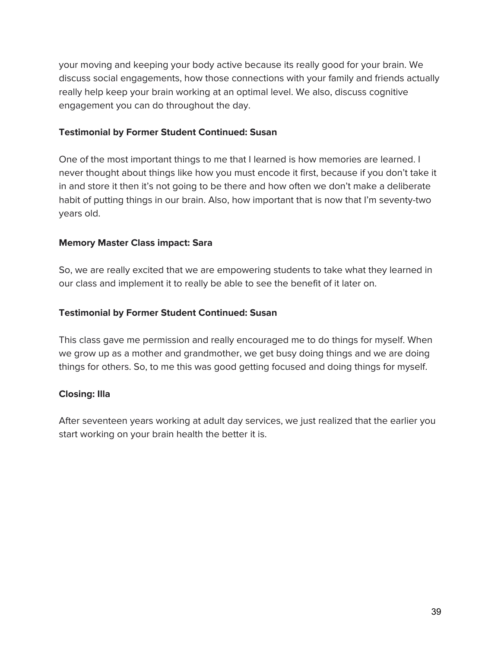your moving and keeping your body active because its really good for your brain. We discuss social engagements, how those connections with your family and friends actually really help keep your brain working at an optimal level. We also, discuss cognitive engagement you can do throughout the day.

#### **Testimonial by Former Student Continued: Susan**

One of the most important things to me that I learned is how memories are learned. I never thought about things like how you must encode it first, because if you don't take it in and store it then it's not going to be there and how often we don't make a deliberate habit of putting things in our brain. Also, how important that is now that I'm seventy-two years old.

#### **Memory Master Class impact: Sara**

So, we are really excited that we are empowering students to take what they learned in our class and implement it to really be able to see the benefit of it later on.

#### **Testimonial by Former Student Continued: Susan**

This class gave me permission and really encouraged me to do things for myself. When we grow up as a mother and grandmother, we get busy doing things and we are doing things for others. So, to me this was good getting focused and doing things for myself.

#### **Closing: Illa**

After seventeen years working at adult day services, we just realized that the earlier you start working on your brain health the better it is.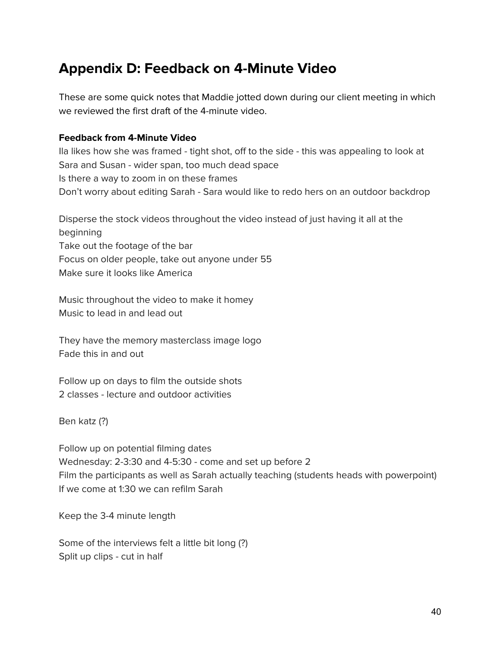### **Appendix D: Feedback on 4-Minute Video**

These are some quick notes that Maddie jotted down during our client meeting in which we reviewed the first draft of the 4-minute video.

#### **Feedback from 4-Minute Video**

Ila likes how she was framed - tight shot, off to the side - this was appealing to look at Sara and Susan - wider span, too much dead space Is there a way to zoom in on these frames Don't worry about editing Sarah - Sara would like to redo hers on an outdoor backdrop

Disperse the stock videos throughout the video instead of just having it all at the beginning Take out the footage of the bar Focus on older people, take out anyone under 55 Make sure it looks like America

Music throughout the video to make it homey Music to lead in and lead out

They have the memory masterclass image logo Fade this in and out

Follow up on days to film the outside shots 2 classes - lecture and outdoor activities

Ben katz (?)

Follow up on potential filming dates Wednesday: 2-3:30 and 4-5:30 - come and set up before 2 Film the participants as well as Sarah actually teaching (students heads with powerpoint) If we come at 1:30 we can refilm Sarah

Keep the 3-4 minute length

Some of the interviews felt a little bit long (?) Split up clips - cut in half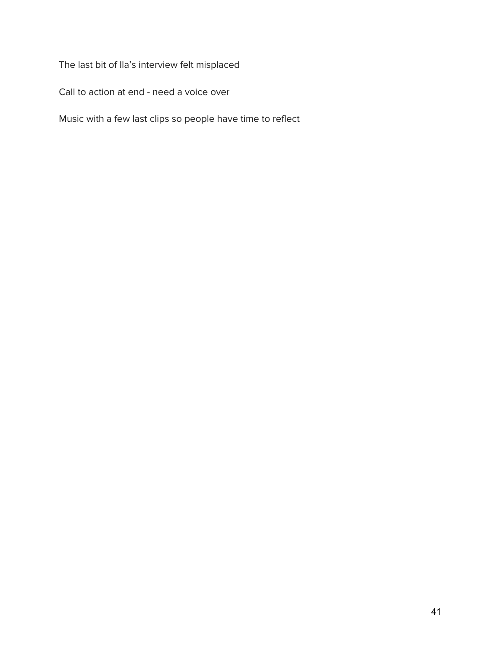The last bit of Ila's interview felt misplaced

Call to action at end - need a voice over

Music with a few last clips so people have time to reflect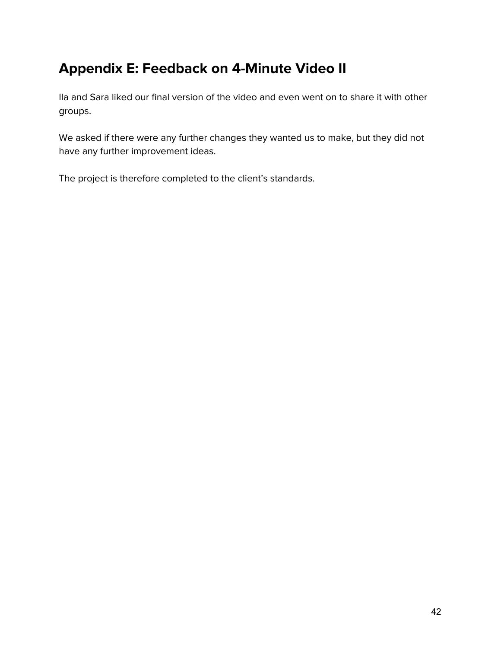# **Appendix E: Feedback on 4-Minute Video II**

Ila and Sara liked our final version of the video and even went on to share it with other groups.

We asked if there were any further changes they wanted us to make, but they did not have any further improvement ideas.

The project is therefore completed to the client's standards.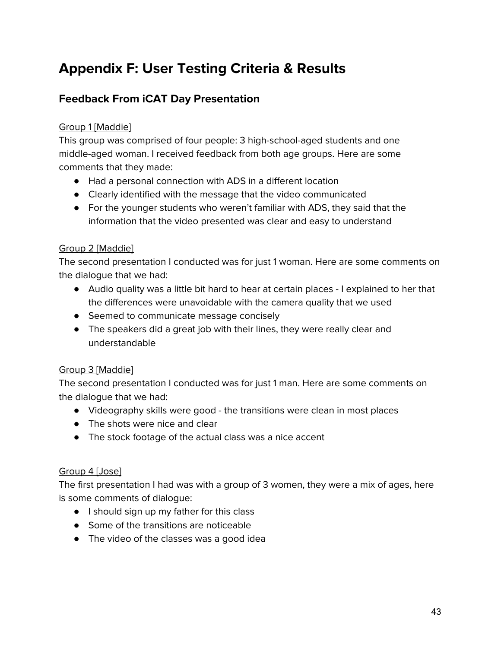# **Appendix F: User Testing Criteria & Results**

#### **Feedback From iCAT Day Presentation**

#### Group 1 [Maddie]

This group was comprised of four people: 3 high-school-aged students and one middle-aged woman. I received feedback from both age groups. Here are some comments that they made:

- Had a personal connection with ADS in a different location
- Clearly identified with the message that the video communicated
- For the younger students who weren't familiar with ADS, they said that the information that the video presented was clear and easy to understand

#### Group 2 [Maddie]

The second presentation I conducted was for just 1 woman. Here are some comments on the dialogue that we had:

- Audio quality was a little bit hard to hear at certain places I explained to her that the differences were unavoidable with the camera quality that we used
- Seemed to communicate message concisely
- The speakers did a great job with their lines, they were really clear and understandable

#### Group 3 [Maddie]

The second presentation I conducted was for just 1 man. Here are some comments on the dialogue that we had:

- Videography skills were good the transitions were clean in most places
- The shots were nice and clear
- The stock footage of the actual class was a nice accent

#### Group 4 [Jose]

The first presentation I had was with a group of 3 women, they were a mix of ages, here is some comments of dialogue:

- I should sign up my father for this class
- Some of the transitions are noticeable
- The video of the classes was a good idea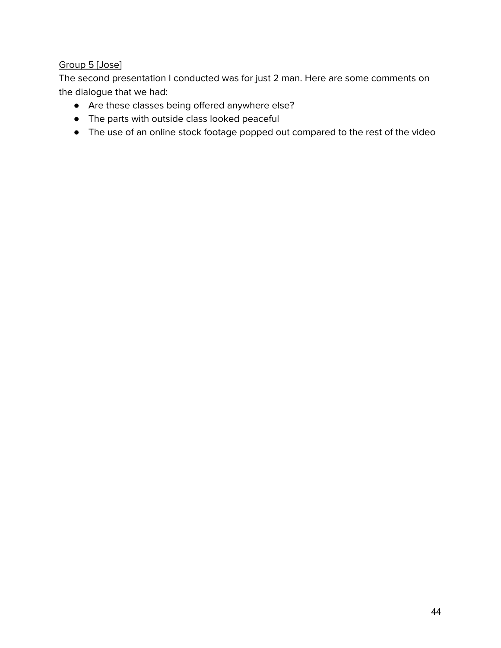#### Group 5 [Jose]

The second presentation I conducted was for just 2 man. Here are some comments on the dialogue that we had:

- Are these classes being offered anywhere else?
- The parts with outside class looked peaceful
- The use of an online stock footage popped out compared to the rest of the video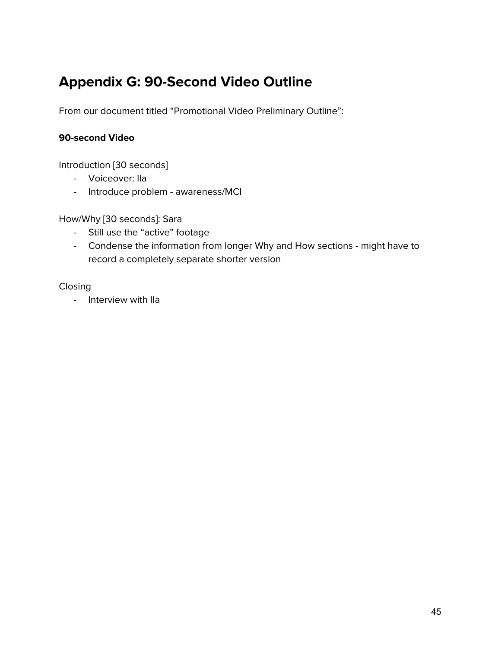# **Appendix G: 90-Second Video Outline**

From our document titled "Promotional Video Preliminary Outline":

#### **90-second Video**

Introduction [30 seconds]

- Voiceover: Ila
- Introduce problem awareness/MCI

How/Why [30 seconds]: Sara

- Still use the "active" footage
- Condense the information from longer Why and How sections might have to record a completely separate shorter version

Closing

- Interview with Ila